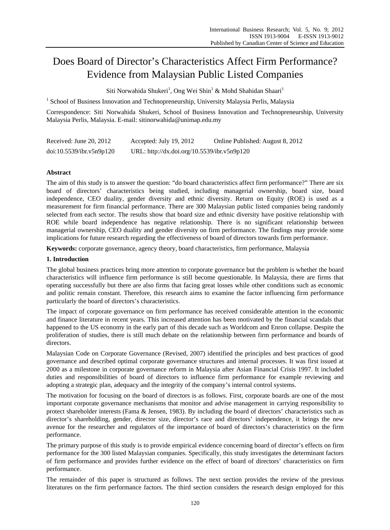# Does Board of Director's Characteristics Affect Firm Performance? Evidence from Malaysian Public Listed Companies

Siti Norwahida Shukeri<sup>1</sup>, Ong Wei Shin<sup>1</sup> & Mohd Shahidan Shaari<sup>1</sup>

<sup>1</sup> School of Business Innovation and Technopreneurship, University Malaysia Perlis, Malaysia

Correspondence: Siti Norwahida Shukeri, School of Business Innovation and Technopreneurship, University Malaysia Perlis, Malaysia. E-mail: sitinorwahida@unimap.edu.my

| Received: June $20, 2012$ | Accepted: July 19, 2012                     | Online Published: August 8, 2012 |
|---------------------------|---------------------------------------------|----------------------------------|
| doi:10.5539/ibr.v5n9p120  | URL: http://dx.doi.org/10.5539/ibr.v5n9p120 |                                  |

# **Abstract**

The aim of this study is to answer the question: "do board characteristics affect firm performance?" There are six board of directors' characteristics being studied, including managerial ownership, board size, board independence, CEO duality, gender diversity and ethnic diversity. Return on Equity (ROE) is used as a measurement for firm financial performance. There are 300 Malaysian public listed companies being randomly selected from each sector. The results show that board size and ethnic diversity have positive relationship with ROE while board independence has negative relationship. There is no significant relationship between managerial ownership, CEO duality and gender diversity on firm performance. The findings may provide some implications for future research regarding the effectiveness of board of directors towards firm performance.

**Keywords:** corporate governance, agency theory, board characteristics, firm performance, Malaysia

## **1. Introduction**

The global business practices bring more attention to corporate governance but the problem is whether the board characteristics will influence firm performance is still become questionable. In Malaysia, there are firms that operating successfully but there are also firms that facing great losses while other conditions such as economic and politic remain constant. Therefore, this research aims to examine the factor influencing firm performance particularly the board of directors's characteristics.

The impact of corporate governance on firm performance has received considerable attention in the economic and finance literature in recent years. This increased attention has been motivated by the financial scandals that happened to the US economy in the early part of this decade such as Worldcom and Enron collapse. Despite the proliferation of studies, there is still much debate on the relationship between firm performance and boards of directors.

Malaysian Code on Corporate Governance (Revised, 2007) identified the principles and best practices of good governance and described optimal corporate governance structures and internal processes. It was first issued at 2000 as a milestone in corporate governance reform in Malaysia after Asian Financial Crisis 1997. It included duties and responsibilities of board of directors to influence firm performance for example reviewing and adopting a strategic plan, adequacy and the integrity of the company's internal control systems.

The motivation for focusing on the board of directors is as follows. First, corporate boards are one of the most important corporate governance mechanisms that monitor and advise management in carrying responsibility to protect shareholder interests (Fama & Jensen, 1983). By including the board of directors' characteristics such as director's shareholding, gender, director size, director's race and directors' independence, it brings the new avenue for the researcher and regulators of the importance of board of directors's characteristics on the firm performance.

The primary purpose of this study is to provide empirical evidence concerning board of director's effects on firm performance for the 300 listed Malaysian companies. Specifically, this study investigates the determinant factors of firm performance and provides further evidence on the effect of board of directors' characteristics on firm performance.

The remainder of this paper is structured as follows. The next section provides the review of the previous literatures on the firm performance factors. The third section considers the research design employed for this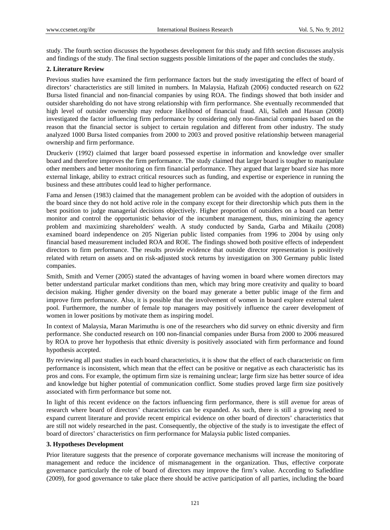study. The fourth section discusses the hypotheses development for this study and fifth section discusses analysis and findings of the study. The final section suggests possible limitations of the paper and concludes the study.

# **2. Literature Review**

Previous studies have examined the firm performance factors but the study investigating the effect of board of directors' characteristics are still limited in numbers. In Malaysia, Hafizah (2006) conducted research on 622 Bursa listed financial and non-financial companies by using ROA. The findings showed that both insider and outsider shareholding do not have strong relationship with firm performance. She eventually recommended that high level of outsider ownership may reduce likelihood of financial fraud. Ali, Salleh and Hassan (2008) investigated the factor influencing firm performance by considering only non-financial companies based on the reason that the financial sector is subject to certain regulation and different from other industry. The study analyzed 1000 Bursa listed companies from 2000 to 2003 and proved positive relationship between managerial ownership and firm performance.

Druckeriv (1992) claimed that larger board possessed expertise in information and knowledge over smaller board and therefore improves the firm performance. The study claimed that larger board is tougher to manipulate other members and better monitoring on firm financial performance. They argued that larger board size has more external linkage, ability to extract critical resources such as funding, and expertise or experience in running the business and these attributes could lead to higher performance.

Fama and Jensen (1983) claimed that the management problem can be avoided with the adoption of outsiders in the board since they do not hold active role in the company except for their directorship which puts them in the best position to judge managerial decisions objectively. Higher proportion of outsiders on a board can better monitor and control the opportunistic behavior of the incumbent management, thus, minimizing the agency problem and maximizing shareholders' wealth. A study conducted by Sanda, Garba and Mikailu (2008) examined board independence on 205 Nigerian public listed companies from 1996 to 2004 by using only financial based measurement included ROA and ROE. The findings showed both positive effects of independent directors to firm performance. The results provide evidence that outside director representation is positively related with return on assets and on risk-adjusted stock returns by investigation on 300 Germany public listed companies.

Smith, Smith and Verner (2005) stated the advantages of having women in board where women directors may better understand particular market conditions than men, which may bring more creativity and quality to board decision making. Higher gender diversity on the board may generate a better public image of the firm and improve firm performance. Also, it is possible that the involvement of women in board explore external talent pool. Furthermore, the number of female top managers may positively influence the career development of women in lower positions by motivate them as inspiring model.

In context of Malaysia, Maran Marimuthu is one of the researchers who did survey on ethnic diversity and firm performance. She conducted research on 100 non-financial companies under Bursa from 2000 to 2006 measured by ROA to prove her hypothesis that ethnic diversity is positively associated with firm performance and found hypothesis accepted.

By reviewing all past studies in each board characteristics, it is show that the effect of each characteristic on firm performance is inconsistent, which mean that the effect can be positive or negative as each characteristic has its pros and cons. For example, the optimum firm size is remaining unclear; large firm size has better source of idea and knowledge but higher potential of communication conflict. Some studies proved large firm size positively associated with firm performance but some not.

In light of this recent evidence on the factors influencing firm performance, there is still avenue for areas of research where board of directors' characteristics can be expanded. As such, there is still a growing need to expand current literature and provide recent empirical evidence on other board of directors' characteristics that are still not widely researched in the past. Consequently, the objective of the study is to investigate the effect of board of directors' characteristics on firm performance for Malaysia public listed companies.

# **3. Hypotheses Development**

Prior literature suggests that the presence of corporate governance mechanisms will increase the monitoring of management and reduce the incidence of mismanagement in the organization. Thus, effective corporate governance particularly the role of board of directors may improve the firm's value. According to Safieddine (2009), for good governance to take place there should be active participation of all parties, including the board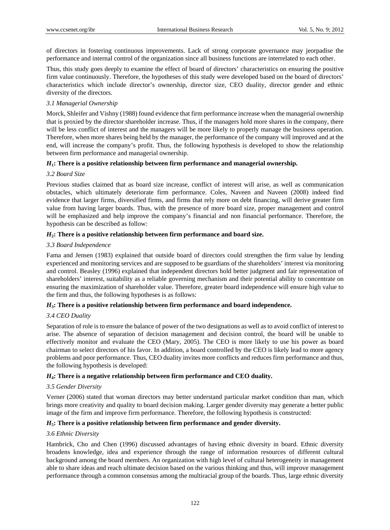of directors in fostering continuous improvements. Lack of strong corporate governance may jeorpadise the performance and internal control of the organization since all business functions are interrelated to each other.

Thus, this study goes deeply to examine the effect of board of directors' characteristics on ensuring the positive firm value continuously. Therefore, the hypotheses of this study were developed based on the board of directors' characteristics which include director's ownership, director size, CEO duality, director gender and ethnic diversity of the directors.

## *3.1 Managerial Ownership*

Morck, Shleifer and Vishny (1988) found evidence that firm performance increase when the managerial ownership that is proxied by the director shareholder increase. Thus, if the managers hold more shares in the company, there will be less conflict of interest and the managers will be more likely to properly manage the business operation. Therefore, when more shares being held by the manager, the performance of the company will improved and at the end, will increase the company's profit. Thus, the following hypothesis is developed to show the relationship between firm performance and managerial ownership.

# *H***1: There is a positive relationship between firm performance and managerial ownership.**

# *3.2 Board Size*

Previous studies claimed that as board size increase, conflict of interest will arise, as well as communication obstacles, which ultimately deteriorate firm performance. Coles, Naveen and Naveen (2008) indeed find evidence that larger firms, diversified firms, and firms that rely more on debt financing, will derive greater firm value from having larger boards. Thus, with the presence of more board size, proper management and control will be emphasized and help improve the company's financial and non financial performance. Therefore, the hypothesis can be described as follow:

# *H***2: There is a positive relationship between firm performance and board size.**

# *3.3 Board Independence*

Fama and Jensen (1983) explained that outside board of directors could strengthen the firm value by lending experienced and monitoring services and are supposed to be guardians of the shareholders' interest via monitoring and control. Beasley (1996) explained that independent directors hold better judgment and fair representation of shareholders' interest, suitability as a reliable governing mechanism and their potential ability to concentrate on ensuring the maximization of shareholder value. Therefore, greater board independence will ensure high value to the firm and thus, the following hypotheses is as follows:

# *H***3: There is a positive relationship between firm performance and board independence.**

## *3.4 CEO Duality*

Separation of role is to ensure the balance of power of the two designations as well as to avoid conflict of interest to arise. The absence of separation of decision management and decision control, the board will be unable to effectively monitor and evaluate the CEO (Mary, 2005). The CEO is more likely to use his power as board chairman to select directors of his favor. In addition, a board controlled by the CEO is likely lead to more agency problems and poor performance. Thus, CEO duality invites more conflicts and reduces firm performance and thus, the following hypothesis is developed:

## *H***4: There is a negative relationship between firm performance and CEO duality.**

## *3.5 Gender Diversity*

Verner (2006) stated that woman directors may better understand particular market condition than man, which brings more creativity and quality to board decision making. Larger gender diversity may generate a better public image of the firm and improve firm performance. Therefore, the following hypothesis is constructed:

# *H***5: There is a positive relationship between firm performance and gender diversity.**

## *3.6 Ethnic Diversity*

Hambrick, Cho and Chen (1996) discussed advantages of having ethnic diversity in board. Ethnic diversity broadens knowledge, idea and experience through the range of information resources of different cultural background among the board members. An organization with high level of cultural heterogeneity in management able to share ideas and reach ultimate decision based on the various thinking and thus, will improve management performance through a common consensus among the multiracial group of the boards. Thus, large ethnic diversity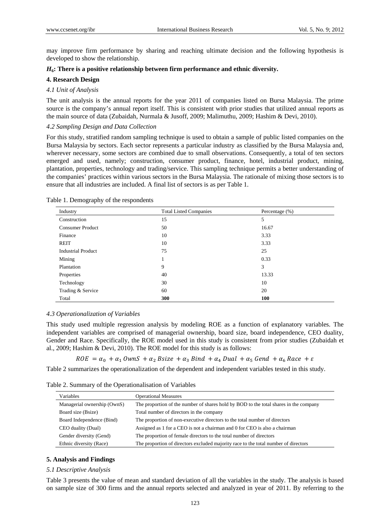may improve firm performance by sharing and reaching ultimate decision and the following hypothesis is developed to show the relationship.

## *H***6: There is a positive relationship between firm performance and ethnic diversity.**

#### **4. Research Design**

## *4.1 Unit of Analysis*

The unit analysis is the annual reports for the year 2011 of companies listed on Bursa Malaysia. The prime source is the company's annual report itself. This is consistent with prior studies that utilized annual reports as the main source of data (Zubaidah, Nurmala & Jusoff, 2009; Malimuthu, 2009; Hashim & Devi, 2010).

### *4.2 Sampling Design and Data Collection*

For this study, stratified random sampling technique is used to obtain a sample of public listed companies on the Bursa Malaysia by sectors. Each sector represents a particular industry as classified by the Bursa Malaysia and, wherever necessary, some sectors are combined due to small observations. Consequently, a total of ten sectors emerged and used, namely; construction, consumer product, finance, hotel, industrial product, mining, plantation, properties, technology and trading/service. This sampling technique permits a better understanding of the companies' practices within various sectors in the Bursa Malaysia. The rationale of mixing those sectors is to ensure that all industries are included. A final list of sectors is as per Table 1.

| Industry                  | <b>Total Listed Companies</b> | Percentage $(\%)$ |  |
|---------------------------|-------------------------------|-------------------|--|
| Construction              | 15                            | 5                 |  |
| <b>Consumer Product</b>   | 50                            | 16.67             |  |
| Finance                   | 10                            | 3.33              |  |
| <b>REIT</b>               | 10                            | 3.33              |  |
| <b>Industrial Product</b> | 75                            | 25                |  |
| Mining                    |                               | 0.33              |  |
| Plantation                | 9                             | 3                 |  |
| Properties                | 40                            | 13.33             |  |
| Technology                | 30                            | 10                |  |
| Trading & Service         | 60                            | 20                |  |
| Total                     | 300                           | 100               |  |

Table 1. Demography of the respondents

#### *4.3 Operationalization of Variables*

This study used multiple regression analysis by modeling ROE as a function of explanatory variables. The independent variables are comprised of managerial ownership, board size, board independence, CEO duality, Gender and Race. Specifically, the ROE model used in this study is consistent from prior studies (Zubaidah et al., 2009; Hashim & Devi, 2010). The ROE model for this study is as follows:

 $ROE = \alpha_0 + \alpha_1 \, OwnS + \alpha_2 \, Bisze + \alpha_3 \, Bind + \alpha_4 \, Dual + \alpha_5 \, Gend + \alpha_6 \, Race + \varepsilon$ 

Table 2 summarizes the operationalization of the dependent and independent variables tested in this study.

Table 2. Summary of the Operationalisation of Variables

| Variables                   | <b>Operational Measures</b>                                                           |
|-----------------------------|---------------------------------------------------------------------------------------|
| Managerial ownership (OwnS) | The proportion of the number of shares hold by BOD to the total shares in the company |
| Board size (Bsize)          | Total number of directors in the company                                              |
| Board Independence (Bind)   | The proportion of non-executive directors to the total number of directors            |
| CEO duality (Dual)          | Assigned as 1 for a CEO is not a chairman and 0 for CEO is also a chairman            |
| Gender diversity (Gend)     | The proportion of female directors to the total number of directors                   |
| Ethnic diversity (Race)     | The proportion of directors excluded majority race to the total number of directors   |

# **5. Analysis and Findings**

#### *5.1 Descriptive Analysis*

Table 3 presents the value of mean and standard deviation of all the variables in the study. The analysis is based on sample size of 300 firms and the annual reports selected and analyzed in year of 2011. By referring to the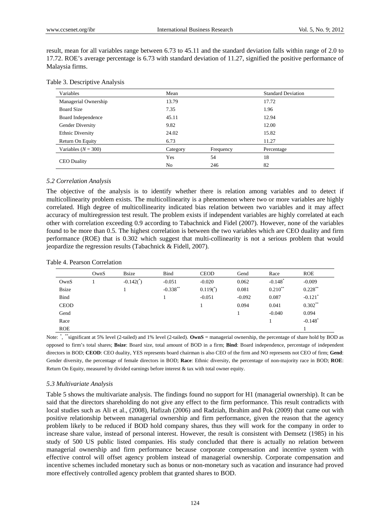result, mean for all variables range between 6.73 to 45.11 and the standard deviation falls within range of 2.0 to 17.72. ROE's average percentage is 6.73 with standard deviation of 11.27, signified the positive performance of Malaysia firms.

|  | Table 3. Descriptive Analysis |  |
|--|-------------------------------|--|
|--|-------------------------------|--|

| Variables               | Mean     |           | <b>Standard Deviation</b> |
|-------------------------|----------|-----------|---------------------------|
| Managerial Ownership    | 13.79    |           | 17.72                     |
| <b>Board Size</b>       | 7.35     |           | 1.96                      |
| Board Independence      | 45.11    |           | 12.94                     |
| Gender Diversity        | 9.82     |           | 12.00                     |
| <b>Ethnic Diversity</b> | 24.02    |           | 15.82                     |
| Return On Equity        | 6.73     |           | 11.27                     |
| Variables $(N = 300)$   | Category | Frequency | Percentage                |
|                         | Yes      | 54        | 18                        |
| <b>CEO</b> Duality      | No       | 246       | 82                        |

#### *5.2 Correlation Analysis*

The objective of the analysis is to identify whether there is relation among variables and to detect if multicollinearity problem exists. The multicollinearity is a phenomenon where two or more variables are highly correlated. High degree of multicollinearity indicated bias relation between two variables and it may affect accuracy of multiregression test result. The problem exists if independent variables are highly correlated at each other with correlation exceeding 0.9 according to Tabachnick and Fidel (2007). However, none of the variables found to be more than 0.5. The highest correlation is between the two variables which are CEO duality and firm performance (ROE) that is 0.302 which suggest that multi-collinearity is not a serious problem that would jeopardize the regression results (Tabachnick & Fidell, 2007).

#### Table 4. Pearson Correlation

|              | OwnS | <b>B</b> size            | <b>Bind</b> | <b>CEOD</b>   | Gend     | Race                  | <b>ROE</b>            |
|--------------|------|--------------------------|-------------|---------------|----------|-----------------------|-----------------------|
| OwnS         |      | $-0.142($ <sup>*</sup> ) | $-0.051$    | $-0.020$      | 0.062    | $-0.148$ <sup>*</sup> | $-0.009$              |
| <b>Bsize</b> |      |                          | $-0.338***$ | $0.119(^{*})$ | 0.081    | $0.210***$            | $0.228***$            |
| Bind         |      |                          |             | $-0.051$      | $-0.092$ | 0.087                 | $-0.121$ <sup>*</sup> |
| <b>CEOD</b>  |      |                          |             |               | 0.094    | 0.041                 | $0.302**$             |
| Gend         |      |                          |             |               |          | $-0.040$              | 0.094                 |
| Race         |      |                          |             |               |          |                       | $-0.148$ <sup>*</sup> |
| <b>ROE</b>   |      |                          |             |               |          |                       |                       |

Note: "significant at 5% level (2-tailed) and 1% level (2-tailed). **OwnS** = managerial ownership, the percentage of share hold by BOD as opposed to firm's total shares; **Bsize**: Board size, total amount of BOD in a firm; **Bind**: Board independence, percentage of independent directors in BOD; **CEOD**: CEO duality, YES represents board chairman is also CEO of the firm and NO represents not CEO of firm; **Gend**: Gender diversity, the percentage of female directors in BOD; **Race**: Ethnic diversity, the percentage of non-majority race in BOD; **ROE**: Return On Equity, measured by divided earnings before interest & tax with total owner equity.

#### *5.3 Multivariate Analysis*

Table 5 shows the multivariate analysis. The findings found no support for H1 (managerial ownership). It can be said that the directors shareholding do not give any effect to the firm performance. This result contradicts with local studies such as Ali et al., (2008), Hafizah (2006) and Radziah, Ibrahim and Pok (2009) that came out with positive relationship between managerial ownership and firm performance, given the reason that the agency problem likely to be reduced if BOD hold company shares, thus they will work for the company in order to increase share value, instead of personal interest. However, the result is consistent with Demsetz (1985) in his study of 500 US public listed companies. His study concluded that there is actually no relation between managerial ownership and firm performance because corporate compensation and incentive system with effective control will offset agency problem instead of managerial ownership. Corporate compensation and incentive schemes included monetary such as bonus or non-monetary such as vacation and insurance had proved more effectively controlled agency problem that granted shares to BOD.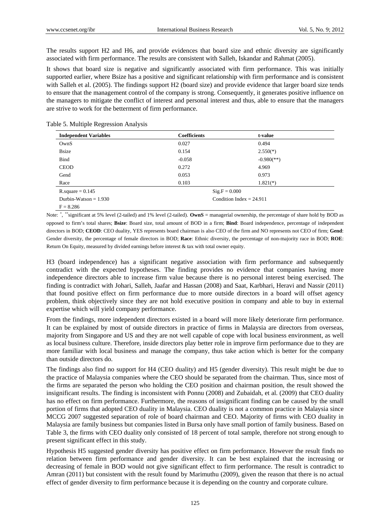The results support H2 and H6, and provide evidences that board size and ethnic diversity are significantly associated with firm performance. The results are consistent with Salleh, Iskandar and Rahmat (2005).

It shows that board size is negative and significantly associated with firm performance. This was initially supported earlier, where Bsize has a positive and significant relationship with firm performance and is consistent with Salleh et al. (2005). The findings support H2 (board size) and provide evidence that larger board size tends to ensure that the management control of the company is strong. Consequently, it generates positive influence on the managers to mitigate the conflict of interest and personal interest and thus, able to ensure that the managers are strive to work for the betterment of firm performance.

| <b>Independent Variables</b> | <b>Coefficients</b> | t-value                    |  |
|------------------------------|---------------------|----------------------------|--|
| OwnS                         | 0.027               | 0.494                      |  |
| <b>B</b> size                | 0.154               | $2.550(*)$                 |  |
| Bind                         | $-0.058$            | $-0.980$ <sup>(**)</sup>   |  |
| <b>CEOD</b>                  | 0.272               | 4.969                      |  |
| Gend                         | 0.053               | 0.973                      |  |
| Race                         | 0.103               | $1.821(*)$                 |  |
| $R$ . square = 0.145         |                     | $Sig.F = 0.000$            |  |
| Durbin-Watson $= 1.930$      |                     | Condition Index = $24.911$ |  |
| $F = 8.286$                  |                     |                            |  |

Table 5. Multiple Regression Analysis

Note: "significant at 5% level (2-tailed) and 1% level (2-tailed). **OwnS** = managerial ownership, the percentage of share hold by BOD as opposed to firm's total shares; **Bsize**: Board size, total amount of BOD in a firm; **Bind**: Board independence, percentage of independent directors in BOD; **CEOD**: CEO duality, YES represents board chairman is also CEO of the firm and NO represents not CEO of firm; **Gend**: Gender diversity, the percentage of female directors in BOD; **Race**: Ethnic diversity, the percentage of non-majority race in BOD; **ROE**: Return On Equity, measured by divided earnings before interest & tax with total owner equity.

H3 (board independence) has a significant negative association with firm performance and subsequently contradict with the expected hypotheses. The finding provides no evidence that companies having more independence directors able to increase firm value because there is no personal interest being exercised. The finding is contradict with Johari, Salleh, Jaafar and Hassan (2008) and Saat, Karbhari, Heravi and Nassir (2011) that found positive effect on firm performance due to more outside directors in a board will offset agency problem, think objectively since they are not hold executive position in company and able to buy in external expertise which will yield company performance.

From the findings, more independent directors existed in a board will more likely deteriorate firm performance. It can be explained by most of outside directors in practice of firms in Malaysia are directors from overseas, majority from Singapore and US and they are not well capable of cope with local business environment, as well as local business culture. Therefore, inside directors play better role in improve firm performance due to they are more familiar with local business and manage the company, thus take action which is better for the company than outside directors do.

The findings also find no support for H4 (CEO duality) and H5 (gender diversity). This result might be due to the practice of Malaysia companies where the CEO should be separated from the chairman. Thus, since most of the firms are separated the person who holding the CEO position and chairman position, the result showed the insignificant results. The finding is inconsistent with Ponnu (2008) and Zubaidah, et al. (2009) that CEO duality has no effect on firm performance. Furthermore, the reasons of insignificant finding can be caused by the small portion of firms that adopted CEO duality in Malaysia. CEO duality is not a common practice in Malaysia since MCCG 2007 suggested separation of role of board chairman and CEO. Majority of firms with CEO duality in Malaysia are family business but companies listed in Bursa only have small portion of family business. Based on Table 3, the firms with CEO duality only consisted of 18 percent of total sample, therefore not strong enough to present significant effect in this study.

Hypothesis H5 suggested gender diversity has positive effect on firm performance. However the result finds no relation between firm performance and gender diversity. It can be best explained that the increasing or decreasing of female in BOD would not give significant effect to firm performance. The result is contradict to Amran (2011) but consistent with the result found by Marimuthu (2009), given the reason that there is no actual effect of gender diversity to firm performance because it is depending on the country and corporate culture.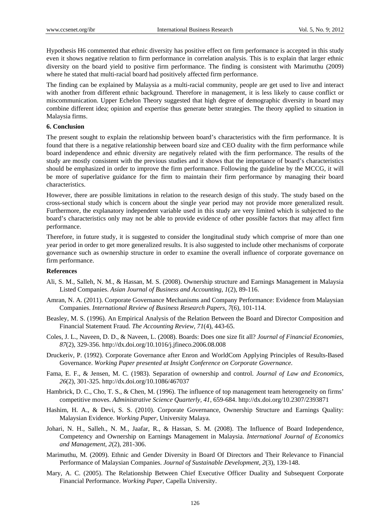Hypothesis H6 commented that ethnic diversity has positive effect on firm performance is accepted in this study even it shows negative relation to firm performance in correlation analysis. This is to explain that larger ethnic diversity on the board yield to positive firm performance. The finding is consistent with Marimuthu (2009) where he stated that multi-racial board had positively affected firm performance.

The finding can be explained by Malaysia as a multi-racial community, people are get used to live and interact with another from different ethnic background. Therefore in management, it is less likely to cause conflict or miscommunication. Upper Echelon Theory suggested that high degree of demographic diversity in board may combine different idea; opinion and expertise thus generate better strategies. The theory applied to situation in Malaysia firms.

#### **6. Conclusion**

The present sought to explain the relationship between board's characteristics with the firm performance. It is found that there is a negative relationship between board size and CEO duality with the firm performance while board independence and ethnic diversity are negatively related with the firm performance. The results of the study are mostly consistent with the previous studies and it shows that the importance of board's characteristics should be emphasized in order to improve the firm performance. Following the guideline by the MCCG, it will be more of superlative guidance for the firm to maintain their firm performance by managing their board characteristics.

However, there are possible limitations in relation to the research design of this study. The study based on the cross-sectional study which is concern about the single year period may not provide more generalized result. Furthermore, the explanatory independent variable used in this study are very limited which is subjected to the board's characteristics only may not be able to provide evidence of other possible factors that may affect firm performance.

Therefore, in future study, it is suggested to consider the longitudinal study which comprise of more than one year period in order to get more generalized results. It is also suggested to include other mechanisms of corporate governance such as ownership structure in order to examine the overall influence of corporate governance on firm performance.

#### **References**

- Ali, S. M., Salleh, N. M., & Hassan, M. S. (2008). Ownership structure and Earnings Management in Malaysia Listed Companies. *Asian Journal of Business and Accounting, 1*(2), 89-116.
- Amran, N. A. (2011). Corporate Governance Mechanisms and Company Performance: Evidence from Malaysian Companies. *International Review of Business Research Papers, 7*(6), 101-114.
- Beasley, M. S. (1996). An Empirical Analysis of the Relation Between the Board and Director Composition and Financial Statement Fraud. *The Accounting Review, 71*(4), 443-65.
- Coles, J. L., Naveen, D. D., & Naveen, L. (2008). Boards: Does one size fit all? *Journal of Financial Economies, 87*(2), 329-356. http://dx.doi.org/10.1016/j.jfineco.2006.08.008
- Druckeriv, P. (1992). Corporate Governance after Enron and WorldCom Applying Principles of Results-Based Governance. *Working Paper presented at Insight Conference on Corporate Governance*.
- Fama, E. F., & Jensen, M. C. (1983). Separation of ownership and control. *Journal of Law and Economics, 26*(2), 301-325. http://dx.doi.org/10.1086/467037
- Hambrick, D. C., Cho, T. S., & Chen, M. (1996). The influence of top management team heterogeneity on firms' competitive moves. *Administrative Science Quarterly, 41,* 659-684. http://dx.doi.org/10.2307/2393871
- Hashim, H. A., & Devi, S. S. (2010). Corporate Governance, Ownership Structure and Earnings Quality: Malaysian Evidence. *Working Paper*, University Malaya.
- Johari, N. H., Salleh., N. M., Jaafar, R., & Hassan, S. M. (2008). The Influence of Board Independence, Competency and Ownership on Earnings Management in Malaysia. *International Journal of Economics and Management, 2*(2), 281-306.
- Marimuthu, M. (2009). Ethnic and Gender Diversity in Board Of Directors and Their Relevance to Financial Performance of Malaysian Companies. *Journal of Sustainable Development, 2*(3), 139-148.
- Mary, A. C. (2005). The Relationship Between Chief Executive Officer Duality and Subsequent Corporate Financial Performance. *Working Paper*, Capella University.